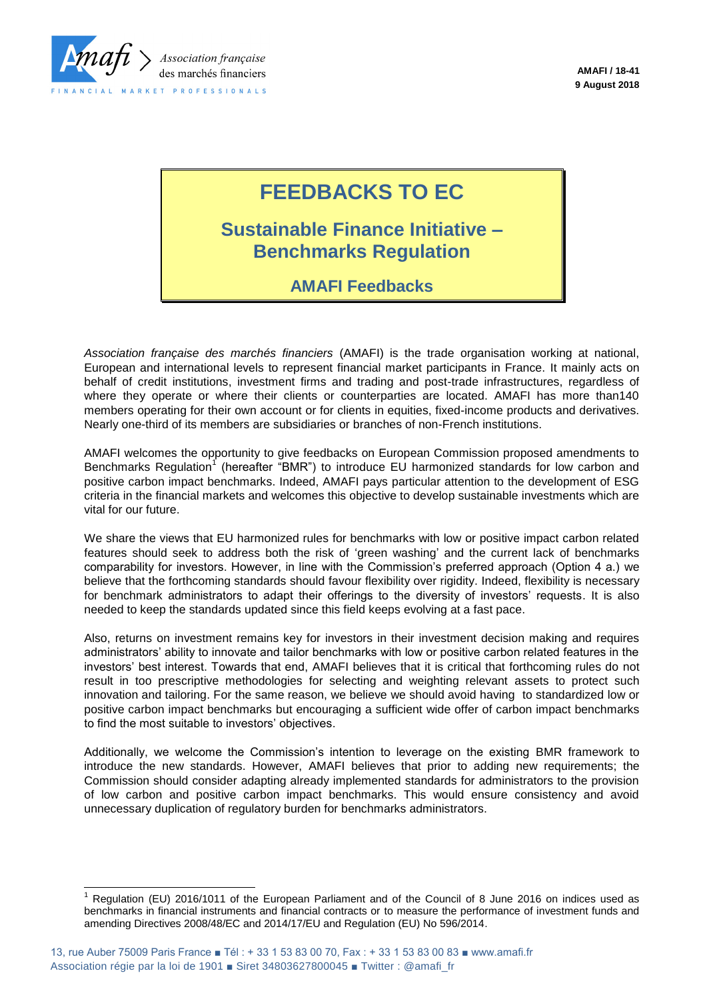

# **FEEDBACKS TO EC**

# **Sustainable Finance Initiative – Benchmarks Regulation**

# **AMAFI Feedbacks**

*Association française des marchés financiers* (AMAFI) is the trade organisation working at national, European and international levels to represent financial market participants in France. It mainly acts on behalf of credit institutions, investment firms and trading and post-trade infrastructures, regardless of where they operate or where their clients or counterparties are located. AMAFI has more than140 members operating for their own account or for clients in equities, fixed-income products and derivatives. Nearly one-third of its members are subsidiaries or branches of non-French institutions.

AMAFI welcomes the opportunity to give feedbacks on European Commission proposed amendments to Benchmarks Regulation<sup>1</sup> (hereafter "BMR") to introduce EU harmonized standards for low carbon and positive carbon impact benchmarks. Indeed, AMAFI pays particular attention to the development of ESG criteria in the financial markets and welcomes this objective to develop sustainable investments which are vital for our future.

We share the views that EU harmonized rules for benchmarks with low or positive impact carbon related features should seek to address both the risk of 'green washing' and the current lack of benchmarks comparability for investors. However, in line with the Commission's preferred approach (Option 4 a.) we believe that the forthcoming standards should favour flexibility over rigidity. Indeed, flexibility is necessary for benchmark administrators to adapt their offerings to the diversity of investors' requests. It is also needed to keep the standards updated since this field keeps evolving at a fast pace.

Also, returns on investment remains key for investors in their investment decision making and requires administrators' ability to innovate and tailor benchmarks with low or positive carbon related features in the investors' best interest. Towards that end, AMAFI believes that it is critical that forthcoming rules do not result in too prescriptive methodologies for selecting and weighting relevant assets to protect such innovation and tailoring. For the same reason, we believe we should avoid having to standardized low or positive carbon impact benchmarks but encouraging a sufficient wide offer of carbon impact benchmarks to find the most suitable to investors' objectives.

Additionally, we welcome the Commission's intention to leverage on the existing BMR framework to introduce the new standards. However, AMAFI believes that prior to adding new requirements; the Commission should consider adapting already implemented standards for administrators to the provision of low carbon and positive carbon impact benchmarks. This would ensure consistency and avoid unnecessary duplication of regulatory burden for benchmarks administrators.

 $\overline{a}$ 

Regulation (EU) 2016/1011 of the European Parliament and of the Council of 8 June 2016 on indices used as benchmarks in financial instruments and financial contracts or to measure the performance of investment funds and amending Directives 2008/48/EC and 2014/17/EU and Regulation (EU) No 596/2014.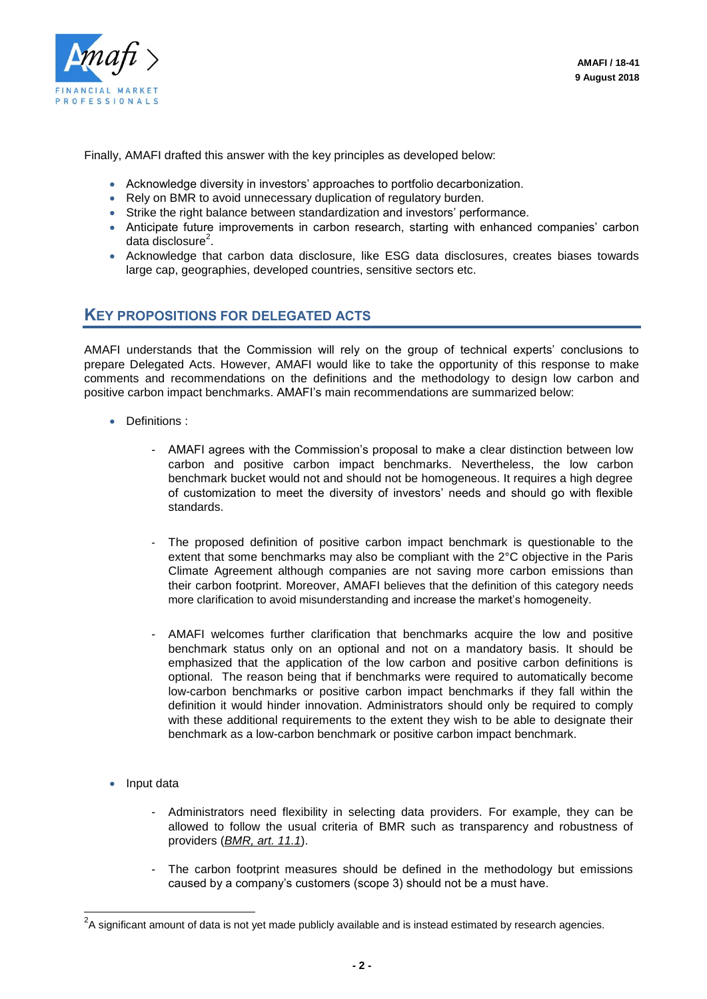

Finally, AMAFI drafted this answer with the key principles as developed below:

- Acknowledge diversity in investors' approaches to portfolio decarbonization.
- Rely on BMR to avoid unnecessary duplication of regulatory burden.
- Strike the right balance between standardization and investors' performance.
- Anticipate future improvements in carbon research, starting with enhanced companies' carbon data disclosure<sup>2</sup>.
- Acknowledge that carbon data disclosure, like ESG data disclosures, creates biases towards large cap, geographies, developed countries, sensitive sectors etc.

## **KEY PROPOSITIONS FOR DELEGATED ACTS**

AMAFI understands that the Commission will rely on the group of technical experts' conclusions to prepare Delegated Acts. However, AMAFI would like to take the opportunity of this response to make comments and recommendations on the definitions and the methodology to design low carbon and positive carbon impact benchmarks. AMAFI's main recommendations are summarized below:

- Definitions :
	- AMAFI agrees with the Commission's proposal to make a clear distinction between low carbon and positive carbon impact benchmarks. Nevertheless, the low carbon benchmark bucket would not and should not be homogeneous. It requires a high degree of customization to meet the diversity of investors' needs and should go with flexible standards.
	- The proposed definition of positive carbon impact benchmark is questionable to the extent that some benchmarks may also be compliant with the 2°C objective in the Paris Climate Agreement although companies are not saving more carbon emissions than their carbon footprint. Moreover, AMAFI believes that the definition of this category needs more clarification to avoid misunderstanding and increase the market's homogeneity.
	- AMAFI welcomes further clarification that benchmarks acquire the low and positive benchmark status only on an optional and not on a mandatory basis. It should be emphasized that the application of the low carbon and positive carbon definitions is optional. The reason being that if benchmarks were required to automatically become low-carbon benchmarks or positive carbon impact benchmarks if they fall within the definition it would hinder innovation. Administrators should only be required to comply with these additional requirements to the extent they wish to be able to designate their benchmark as a low-carbon benchmark or positive carbon impact benchmark.
- Input data

l

- Administrators need flexibility in selecting data providers. For example, they can be allowed to follow the usual criteria of BMR such as transparency and robustness of providers (*BMR, art. 11.1*).
- The carbon footprint measures should be defined in the methodology but emissions caused by a company's customers (scope 3) should not be a must have.

 $^2$ A significant amount of data is not yet made publicly available and is instead estimated by research agencies.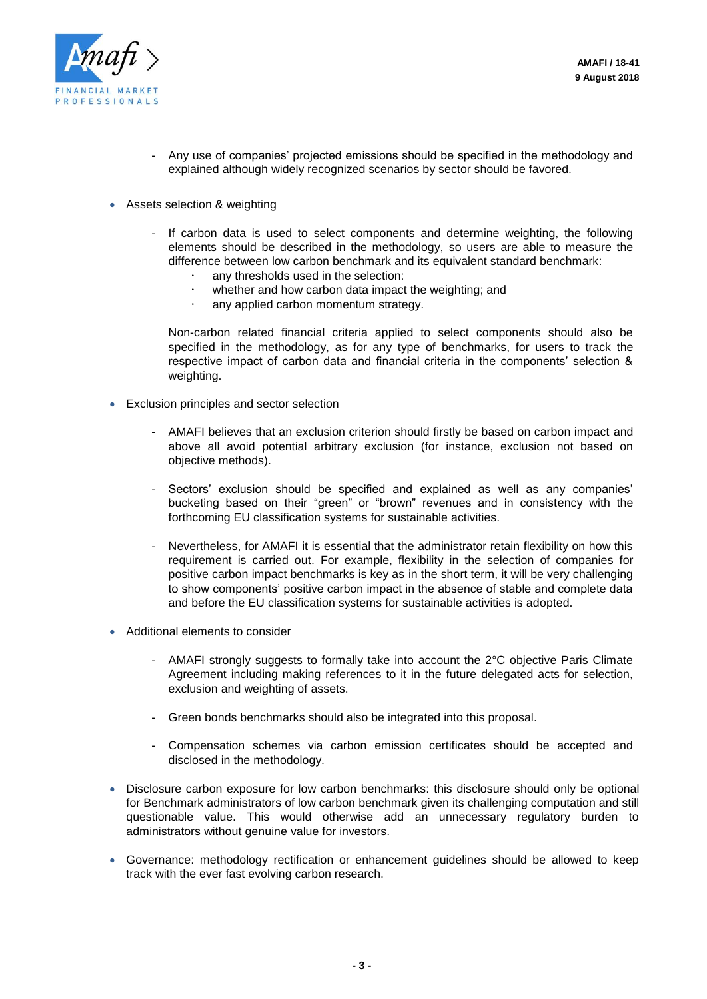

- Any use of companies' projected emissions should be specified in the methodology and explained although widely recognized scenarios by sector should be favored.
- Assets selection & weighting
	- If carbon data is used to select components and determine weighting, the following elements should be described in the methodology, so users are able to measure the difference between low carbon benchmark and its equivalent standard benchmark:
		- any thresholds used in the selection:
		- whether and how carbon data impact the weighting; and
		- any applied carbon momentum strategy.

Non-carbon related financial criteria applied to select components should also be specified in the methodology, as for any type of benchmarks, for users to track the respective impact of carbon data and financial criteria in the components' selection & weighting.

- Exclusion principles and sector selection
	- AMAFI believes that an exclusion criterion should firstly be based on carbon impact and above all avoid potential arbitrary exclusion (for instance, exclusion not based on objective methods).
	- Sectors' exclusion should be specified and explained as well as any companies' bucketing based on their "green" or "brown" revenues and in consistency with the forthcoming EU classification systems for sustainable activities.
	- Nevertheless, for AMAFI it is essential that the administrator retain flexibility on how this requirement is carried out. For example, flexibility in the selection of companies for positive carbon impact benchmarks is key as in the short term, it will be very challenging to show components' positive carbon impact in the absence of stable and complete data and before the EU classification systems for sustainable activities is adopted.
- Additional elements to consider
	- AMAFI strongly suggests to formally take into account the 2°C objective Paris Climate Agreement including making references to it in the future delegated acts for selection, exclusion and weighting of assets.
	- Green bonds benchmarks should also be integrated into this proposal.
	- Compensation schemes via carbon emission certificates should be accepted and disclosed in the methodology.
- Disclosure carbon exposure for low carbon benchmarks: this disclosure should only be optional for Benchmark administrators of low carbon benchmark given its challenging computation and still questionable value. This would otherwise add an unnecessary regulatory burden to administrators without genuine value for investors.
- Governance: methodology rectification or enhancement guidelines should be allowed to keep track with the ever fast evolving carbon research.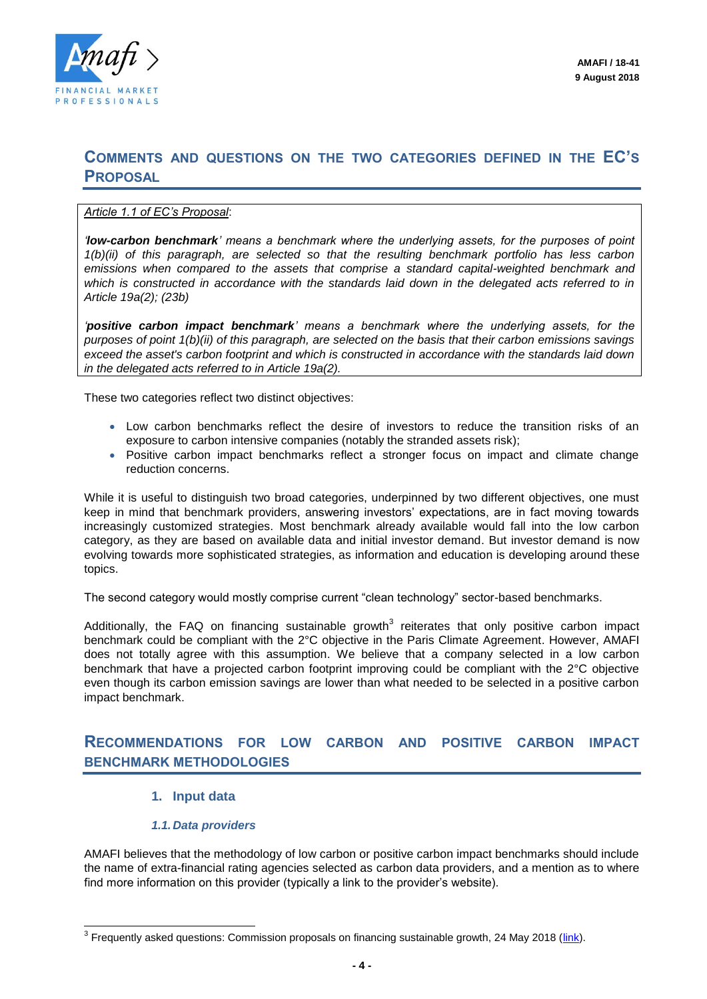

# **COMMENTS AND QUESTIONS ON THE TWO CATEGORIES DEFINED IN THE EC'S PROPOSAL**

#### *Article 1.1 of EC's Proposal*:

*'low-carbon benchmark' means a benchmark where the underlying assets, for the purposes of point 1(b)(ii) of this paragraph, are selected so that the resulting benchmark portfolio has less carbon emissions when compared to the assets that comprise a standard capital-weighted benchmark and which is constructed in accordance with the standards laid down in the delegated acts referred to in Article 19a(2); (23b)* 

*'positive carbon impact benchmark' means a benchmark where the underlying assets, for the purposes of point 1(b)(ii) of this paragraph, are selected on the basis that their carbon emissions savings exceed the asset's carbon footprint and which is constructed in accordance with the standards laid down in the delegated acts referred to in Article 19a(2).*

These two categories reflect two distinct objectives:

- Low carbon benchmarks reflect the desire of investors to reduce the transition risks of an exposure to carbon intensive companies (notably the stranded assets risk);
- Positive carbon impact benchmarks reflect a stronger focus on impact and climate change reduction concerns.

While it is useful to distinguish two broad categories, underpinned by two different objectives, one must keep in mind that benchmark providers, answering investors' expectations, are in fact moving towards increasingly customized strategies. Most benchmark already available would fall into the low carbon category, as they are based on available data and initial investor demand. But investor demand is now evolving towards more sophisticated strategies, as information and education is developing around these topics.

The second category would mostly comprise current "clean technology" sector-based benchmarks.

Additionally, the FAQ on financing sustainable growth<sup>3</sup> reiterates that only positive carbon impact benchmark could be compliant with the 2°C objective in the Paris Climate Agreement. However, AMAFI does not totally agree with this assumption. We believe that a company selected in a low carbon benchmark that have a projected carbon footprint improving could be compliant with the 2°C objective even though its carbon emission savings are lower than what needed to be selected in a positive carbon impact benchmark.

## **RECOMMENDATIONS FOR LOW CARBON AND POSITIVE CARBON IMPACT BENCHMARK METHODOLOGIES**

#### **1. Input data**

#### *1.1. Data providers*

AMAFI believes that the methodology of low carbon or positive carbon impact benchmarks should include the name of extra-financial rating agencies selected as carbon data providers, and a mention as to where find more information on this provider (typically a link to the provider's website).

 3 Frequently asked questions: Commission proposals on financing sustainable growth, 24 May 2018 [\(link\)](http://europa.eu/rapid/press-release_MEMO-18-3730_en.htm).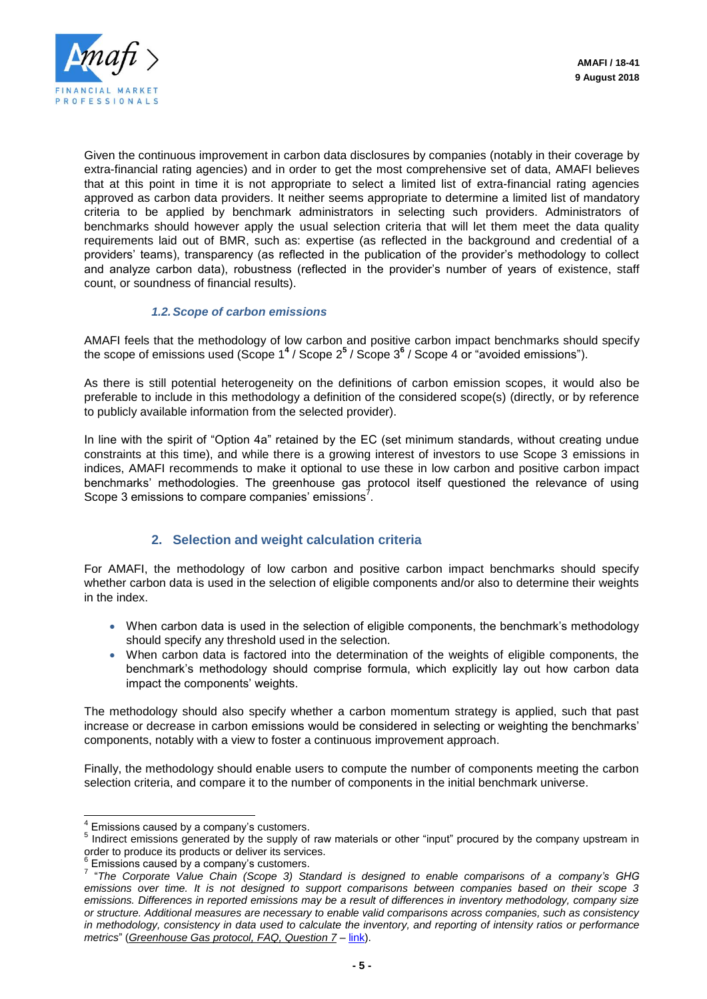

Given the continuous improvement in carbon data disclosures by companies (notably in their coverage by extra-financial rating agencies) and in order to get the most comprehensive set of data, AMAFI believes that at this point in time it is not appropriate to select a limited list of extra-financial rating agencies approved as carbon data providers. It neither seems appropriate to determine a limited list of mandatory criteria to be applied by benchmark administrators in selecting such providers. Administrators of benchmarks should however apply the usual selection criteria that will let them meet the data quality requirements laid out of BMR, such as: expertise (as reflected in the background and credential of a providers' teams), transparency (as reflected in the publication of the provider's methodology to collect and analyze carbon data), robustness (reflected in the provider's number of years of existence, staff count, or soundness of financial results).

#### *1.2.Scope of carbon emissions*

AMAFI feels that the methodology of low carbon and positive carbon impact benchmarks should specify the scope of emissions used (Scope 1**<sup>4</sup>** / Scope 2**<sup>5</sup>** / Scope 3**<sup>6</sup>** / Scope 4 or "avoided emissions").

As there is still potential heterogeneity on the definitions of carbon emission scopes, it would also be preferable to include in this methodology a definition of the considered scope(s) (directly, or by reference to publicly available information from the selected provider).

In line with the spirit of "Option 4a" retained by the EC (set minimum standards, without creating undue constraints at this time), and while there is a growing interest of investors to use Scope 3 emissions in indices, AMAFI recommends to make it optional to use these in low carbon and positive carbon impact benchmarks' methodologies. The greenhouse gas protocol itself questioned the relevance of using Scope 3 emissions to compare companies' emissions<sup>7</sup>.

## **2. Selection and weight calculation criteria**

For AMAFI, the methodology of low carbon and positive carbon impact benchmarks should specify whether carbon data is used in the selection of eligible components and/or also to determine their weights in the index.

- When carbon data is used in the selection of eligible components, the benchmark's methodology should specify any threshold used in the selection.
- When carbon data is factored into the determination of the weights of eligible components, the benchmark's methodology should comprise formula, which explicitly lay out how carbon data impact the components' weights.

The methodology should also specify whether a carbon momentum strategy is applied, such that past increase or decrease in carbon emissions would be considered in selecting or weighting the benchmarks' components, notably with a view to foster a continuous improvement approach.

Finally, the methodology should enable users to compute the number of components meeting the carbon selection criteria, and compare it to the number of components in the initial benchmark universe.

 4 Emissions caused by a company's customers.

<sup>&</sup>lt;sup>5</sup> Indirect emissions generated by the supply of raw materials or other "input" procured by the company upstream in order to produce its products or deliver its services.<br><sup>6</sup> Emissions seused by a sempeny's quotemers.

Emissions caused by a company's customers.

<sup>7</sup> "*The Corporate Value Chain (Scope 3) Standard is designed to enable comparisons of a company's GHG emissions over time. It is not designed to support comparisons between companies based on their scope 3 emissions. Differences in reported emissions may be a result of differences in inventory methodology, company size or structure. Additional measures are necessary to enable valid comparisons across companies, such as consistency in methodology, consistency in data used to calculate the inventory, and reporting of intensity ratios or performance metrics*" (*Greenhouse Gas protocol, FAQ, Question 7* – [link\)](https://ghgprotocol.org/sites/default/files/standards_supporting/FAQ.pdf).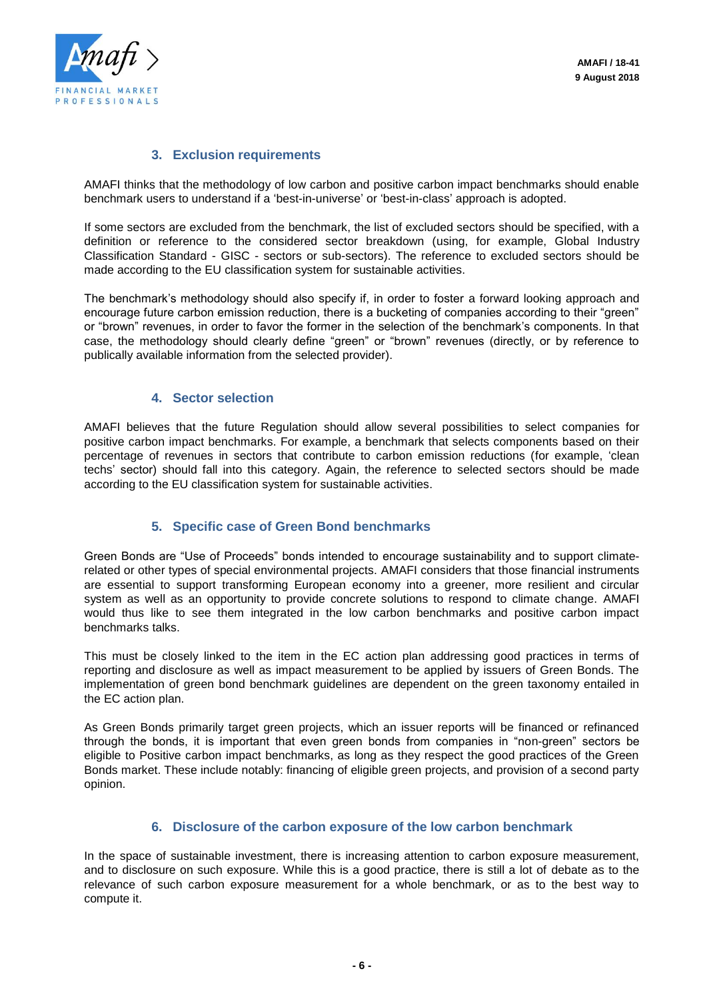

#### **3. Exclusion requirements**

AMAFI thinks that the methodology of low carbon and positive carbon impact benchmarks should enable benchmark users to understand if a 'best-in-universe' or 'best-in-class' approach is adopted.

If some sectors are excluded from the benchmark, the list of excluded sectors should be specified, with a definition or reference to the considered sector breakdown (using, for example, Global Industry Classification Standard - GISC - sectors or sub-sectors). The reference to excluded sectors should be made according to the EU classification system for sustainable activities.

The benchmark's methodology should also specify if, in order to foster a forward looking approach and encourage future carbon emission reduction, there is a bucketing of companies according to their "green" or "brown" revenues, in order to favor the former in the selection of the benchmark's components. In that case, the methodology should clearly define "green" or "brown" revenues (directly, or by reference to publically available information from the selected provider).

#### **4. Sector selection**

AMAFI believes that the future Regulation should allow several possibilities to select companies for positive carbon impact benchmarks. For example, a benchmark that selects components based on their percentage of revenues in sectors that contribute to carbon emission reductions (for example, 'clean techs' sector) should fall into this category. Again, the reference to selected sectors should be made according to the EU classification system for sustainable activities.

#### **5. Specific case of Green Bond benchmarks**

Green Bonds are "Use of Proceeds" bonds intended to encourage sustainability and to support climaterelated or other types of special environmental projects. AMAFI considers that those financial instruments are essential to support transforming European economy into a greener, more resilient and circular system as well as an opportunity to provide concrete solutions to respond to climate change. AMAFI would thus like to see them integrated in the low carbon benchmarks and positive carbon impact benchmarks talks.

This must be closely linked to the item in the EC action plan addressing good practices in terms of reporting and disclosure as well as impact measurement to be applied by issuers of Green Bonds. The implementation of green bond benchmark guidelines are dependent on the green taxonomy entailed in the EC action plan.

As Green Bonds primarily target green projects, which an issuer reports will be financed or refinanced through the bonds, it is important that even green bonds from companies in "non-green" sectors be eligible to Positive carbon impact benchmarks, as long as they respect the good practices of the Green Bonds market. These include notably: financing of eligible green projects, and provision of a second party opinion.

#### **6. Disclosure of the carbon exposure of the low carbon benchmark**

In the space of sustainable investment, there is increasing attention to carbon exposure measurement, and to disclosure on such exposure. While this is a good practice, there is still a lot of debate as to the relevance of such carbon exposure measurement for a whole benchmark, or as to the best way to compute it.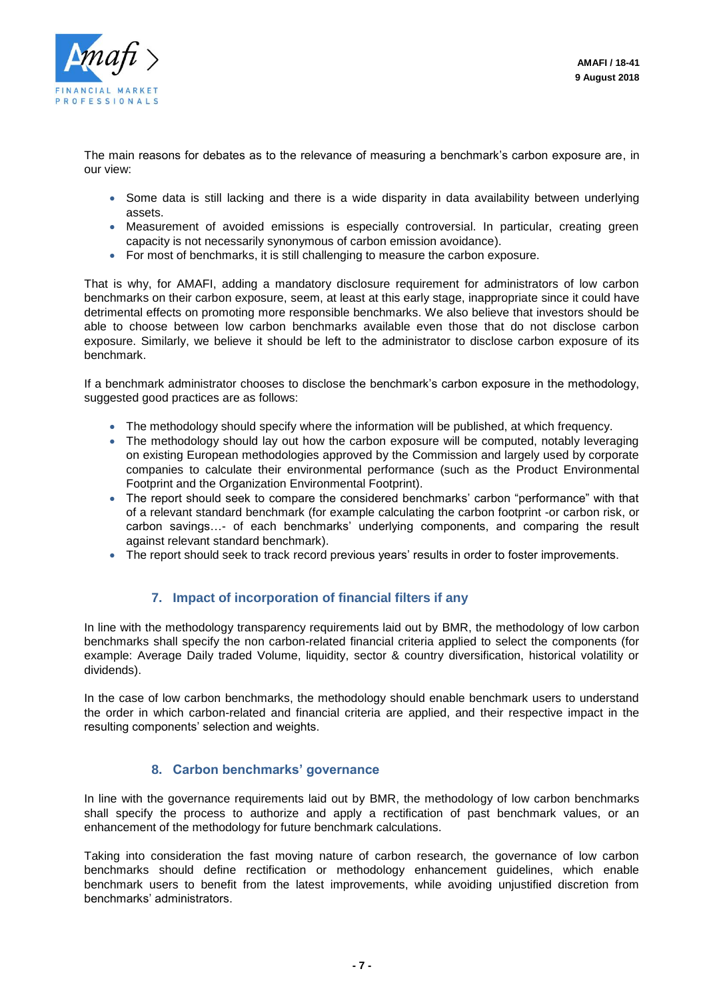

The main reasons for debates as to the relevance of measuring a benchmark's carbon exposure are, in our view:

- Some data is still lacking and there is a wide disparity in data availability between underlying assets.
- Measurement of avoided emissions is especially controversial. In particular, creating green capacity is not necessarily synonymous of carbon emission avoidance).
- For most of benchmarks, it is still challenging to measure the carbon exposure.

That is why, for AMAFI, adding a mandatory disclosure requirement for administrators of low carbon benchmarks on their carbon exposure, seem, at least at this early stage, inappropriate since it could have detrimental effects on promoting more responsible benchmarks. We also believe that investors should be able to choose between low carbon benchmarks available even those that do not disclose carbon exposure. Similarly, we believe it should be left to the administrator to disclose carbon exposure of its benchmark.

If a benchmark administrator chooses to disclose the benchmark's carbon exposure in the methodology, suggested good practices are as follows:

- The methodology should specify where the information will be published, at which frequency.
- The methodology should lay out how the carbon exposure will be computed, notably leveraging on existing European methodologies approved by the Commission and largely used by corporate companies to calculate their environmental performance (such as the Product Environmental Footprint and the Organization Environmental Footprint).
- The report should seek to compare the considered benchmarks' carbon "performance" with that of a relevant standard benchmark (for example calculating the carbon footprint -or carbon risk, or carbon savings…- of each benchmarks' underlying components, and comparing the result against relevant standard benchmark).
- The report should seek to track record previous years' results in order to foster improvements.

#### **7. Impact of incorporation of financial filters if any**

In line with the methodology transparency requirements laid out by BMR, the methodology of low carbon benchmarks shall specify the non carbon-related financial criteria applied to select the components (for example: Average Daily traded Volume, liquidity, sector & country diversification, historical volatility or dividends).

In the case of low carbon benchmarks, the methodology should enable benchmark users to understand the order in which carbon-related and financial criteria are applied, and their respective impact in the resulting components' selection and weights.

#### **8. Carbon benchmarks' governance**

In line with the governance requirements laid out by BMR, the methodology of low carbon benchmarks shall specify the process to authorize and apply a rectification of past benchmark values, or an enhancement of the methodology for future benchmark calculations.

Taking into consideration the fast moving nature of carbon research, the governance of low carbon benchmarks should define rectification or methodology enhancement guidelines, which enable benchmark users to benefit from the latest improvements, while avoiding unjustified discretion from benchmarks' administrators.